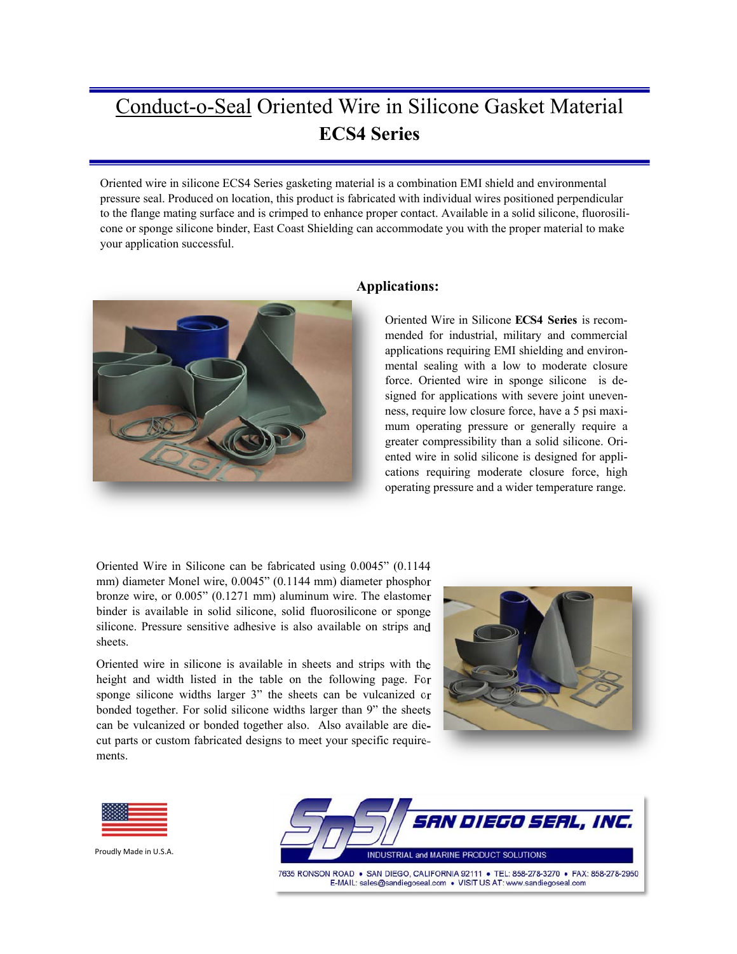Oriented wire in silicone ECS4 Series gasketing material is a combination EMI shield and environmental pressure seal. Produced on location, this product is fabricated with individual wires positioned perpendicular to the flange mating surface and is crimped to enhance proper contact. Available in a solid silicone, fluorosilicone or sponge silicone binder, East Coast Shielding can accommodate you with the proper material to make your application successful.



#### **Applications:**

Oriented Wire in Silicone **ECS4 Series** is recommended for industrial, military and commercial applications requiring EMI shielding and environmental sealing with a low to moderate closure force. Oriented wire in sponge silicone is designed for applications with severe joint unevenness, require low closure force, have a 5 psi maximum operating pressure or generally require a greater compressibility than a solid silicone. Oriented wire in solid silicone is designed for applications requiring moderate closure force, high operating pressure and a wider temperature range.

Oriented Wire in Silicone can be fabricated using 0.0045" (0.1144 mm) diameter Monel wire, 0.0045" (0.1144 mm) diameter phosphor bronze wire, or 0.005" (0.1271 mm) aluminum wire. The elastomer binder is available in solid silicone, solid fluorosilicone or sponge silicone. Pressure sensitive adhesive is also available on strips and sheets.

Oriented wire in silicone is available in sheets and strips with the height and width listed in the table on the following page. For sponge silicone widths larger 3" the sheets can be vulcanized or bonded together. For solid silicone widths larger than 9" the sheets can be vulcanized or bonded together also. Also available are diecut parts or custom fabricated designs to meet your specific requirements.





Proudly Made in U.S.A.



7635 RONSON ROAD . SAN DIEGO, CALIFORNIA 92111 . TEL: 858-278-3270 . FAX: 858-278-2950 E-MAIL: sales@sandiegoseal.com . VISIT US AT: www.sandiegoseal.com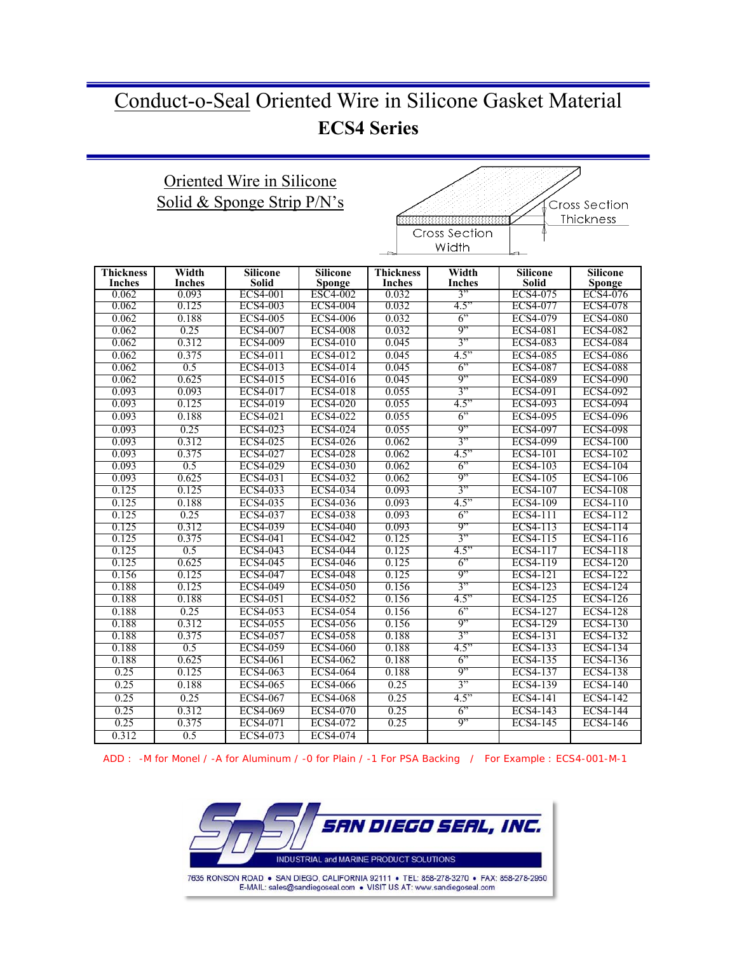## Oriented Wire in Silicone Solid & Sponge Strip P/N's



| <b>Thickness</b><br><b>Inches</b> | Width<br><b>Inches</b> | <b>Silicone</b><br><b>Solid</b> | <b>Silicone</b><br>Sponge | <b>Thickness</b><br><b>Inches</b> | Width<br><b>Inches</b> | <b>Silicone</b><br><b>Solid</b> | <b>Silicone</b><br>Sponge |
|-----------------------------------|------------------------|---------------------------------|---------------------------|-----------------------------------|------------------------|---------------------------------|---------------------------|
| 0.062                             | 0.093                  | <b>ECS4-001</b>                 | <b>ESC4-002</b>           | 0.032                             | 3"                     | ECS4-075                        | ECS4-076                  |
| 0.062                             | 0.125                  | ECS4-003                        | <b>ECS4-004</b>           | 0.032                             | 4.5"                   | <b>ECS4-077</b>                 | <b>ECS4-078</b>           |
| 0.062                             | 0.188                  | <b>ECS4-005</b>                 | <b>ECS4-006</b>           | 0.032                             | 6"                     | <b>ECS4-079</b>                 | <b>ECS4-080</b>           |
| 0.062                             | 0.25                   | <b>ECS4-007</b>                 | <b>ECS4-008</b>           | 0.032                             | 9"                     | <b>ECS4-081</b>                 | <b>ECS4-082</b>           |
| 0.062                             | 0.312                  | <b>ECS4-009</b>                 | <b>ECS4-010</b>           | 0.045                             | 3"                     | <b>ECS4-083</b>                 | <b>ECS4-084</b>           |
| 0.062                             | 0.375                  | ECS4-011                        | <b>ECS4-012</b>           | 0.045                             | 4.5"                   | <b>ECS4-085</b>                 | <b>ECS4-086</b>           |
| 0.062                             | 0.5                    | ECS4-013                        | ECS4-014                  | 0.045                             | 6"                     | <b>ECS4-087</b>                 | <b>ECS4-088</b>           |
| 0.062                             | 0.625                  | ECS4-015                        | ECS4-016                  | 0.045                             | 9"                     | <b>ECS4-089</b>                 | <b>ECS4-090</b>           |
| 0.093                             | 0.093                  | ECS4-017                        | <b>ECS4-018</b>           | 0.055                             | 3"                     | <b>ECS4-091</b>                 | <b>ECS4-092</b>           |
| 0.093                             | 0.125                  | <b>ECS4-019</b>                 | <b>ECS4-020</b>           | 0.055                             | 4.5"                   | <b>ECS4-093</b>                 | <b>ECS4-094</b>           |
| 0.093                             | 0.188                  | ECS4-021                        | <b>ECS4-022</b>           | 0.055                             | 6"                     | <b>ECS4-095</b>                 | <b>ECS4-096</b>           |
| 0.093                             | 0.25                   | ECS4-023                        | <b>ECS4-024</b>           | 0.055                             | 9"                     | <b>ECS4-097</b>                 | <b>ECS4-098</b>           |
| 0.093                             | 0.312                  | ECS4-025                        | <b>ECS4-026</b>           | 0.062                             | 3"                     | <b>ECS4-099</b>                 | <b>ECS4-100</b>           |
| 0.093                             | 0.375                  | ECS4-027                        | <b>ECS4-028</b>           | 0.062                             | 4.5"                   | <b>ECS4-101</b>                 | <b>ECS4-102</b>           |
| 0.093                             | 0.5                    | <b>ECS4-029</b>                 | <b>ECS4-030</b>           | 0.062                             | 6"                     | <b>ECS4-103</b>                 | <b>ECS4-104</b>           |
| 0.093                             | 0.625                  | ECS4-031                        | ECS4-032                  | 0.062                             | 9"                     | <b>ECS4-105</b>                 | <b>ECS4-106</b>           |
| 0.125                             | 0.125                  | <b>ECS4-033</b>                 | <b>ECS4-034</b>           | 0.093                             | 3"                     | <b>ECS4-107</b>                 | <b>ECS4-108</b>           |
| 0.125                             | 0.188                  | ECS4-035                        | <b>ECS4-036</b>           | 0.093                             | 4.5"                   | <b>ECS4-109</b>                 | ECS4-110                  |
| 0.125                             | 0.25                   | <b>ECS4-037</b>                 | <b>ECS4-038</b>           | 0.093                             | 6"                     | ECS4-111                        | ECS4-112                  |
| 0.125                             | 0.312                  | ECS4-039                        | <b>ECS4-040</b>           | 0.093                             | 9"                     | ECS4-113                        | ECS4-114                  |
| 0.125                             | 0.375                  | ECS4-041                        | <b>ECS4-042</b>           | 0.125                             | 3"                     | ECS4-115                        | ECS4-116                  |
| 0.125                             | 0.5                    | ECS4-043                        | <b>ECS4-044</b>           | 0.125                             | 4.5"                   | ECS4-117                        | <b>ECS4-118</b>           |
| 0.125                             | 0.625                  | <b>ECS4-045</b>                 | <b>ECS4-046</b>           | 0.125                             | 6"                     | ECS4-119                        | <b>ECS4-120</b>           |
| 0.156                             | 0.125                  | <b>ECS4-047</b>                 | <b>ECS4-048</b>           | 0.125                             | 9"                     | ECS4-121                        | <b>ECS4-122</b>           |
| 0.188                             | 0.125                  | <b>ECS4-049</b>                 | <b>ECS4-050</b>           | 0.156                             | 3"                     | ECS4-123                        | <b>ECS4-124</b>           |
| 0.188                             | 0.188                  | ECS4-051                        | ECS4-052                  | 0.156                             | 4.5"                   | ECS4-125                        | ECS4-126                  |
| 0.188                             | 0.25                   | ECS4-053                        | <b>ECS4-054</b>           | 0.156                             | 6"                     | <b>ECS4-127</b>                 | <b>ECS4-128</b>           |
| 0.188                             | 0.312                  | <b>ECS4-055</b>                 | <b>ECS4-056</b>           | 0.156                             | 9"                     | <b>ECS4-129</b>                 | <b>ECS4-130</b>           |
| 0.188                             | 0.375                  | <b>ECS4-057</b>                 | <b>ECS4-058</b>           | 0.188                             | 3"                     | <b>ECS4-131</b>                 | ECS4-132                  |
| 0.188                             | 0.5                    | <b>ECS4-059</b>                 | <b>ECS4-060</b>           | 0.188                             | 4.5"                   | ECS4-133                        | <b>ECS4-134</b>           |
| 0.188                             | 0.625                  | <b>ECS4-061</b>                 | <b>ECS4-062</b>           | 0.188                             | 6"                     | <b>ECS4-135</b>                 | ECS4-136                  |
| 0.25                              | 0.125                  | <b>ECS4-063</b>                 | <b>ECS4-064</b>           | 0.188                             | 9"                     | <b>ECS4-137</b>                 | <b>ECS4-138</b>           |
| 0.25                              | 0.188                  | <b>ECS4-065</b>                 | <b>ECS4-066</b>           | 0.25                              | 3"                     | <b>ECS4-139</b>                 | <b>ECS4-140</b>           |
| 0.25                              | 0.25                   | ECS4-067                        | <b>ECS4-068</b>           | 0.25                              | 4.5"                   | <b>ECS4-141</b>                 | ECS4-142                  |
| 0.25                              | 0.312                  | <b>ECS4-069</b>                 | <b>ECS4-070</b>           | 0.25                              | 6"                     | ECS4-143                        | <b>ECS4-144</b>           |
| 0.25                              | 0.375                  | ECS4-071                        | <b>ECS4-072</b>           | 0.25                              | Q''                    | ECS4-145                        | <b>ECS4-146</b>           |
| 0.312                             | 0.5                    | ECS4-073                        | <b>ECS4-074</b>           |                                   |                        |                                 |                           |

ADD : -M for Monel / -A for Aluminum / -0 for Plain / -1 For PSA Backing / For Example : ECS4-001-M-1

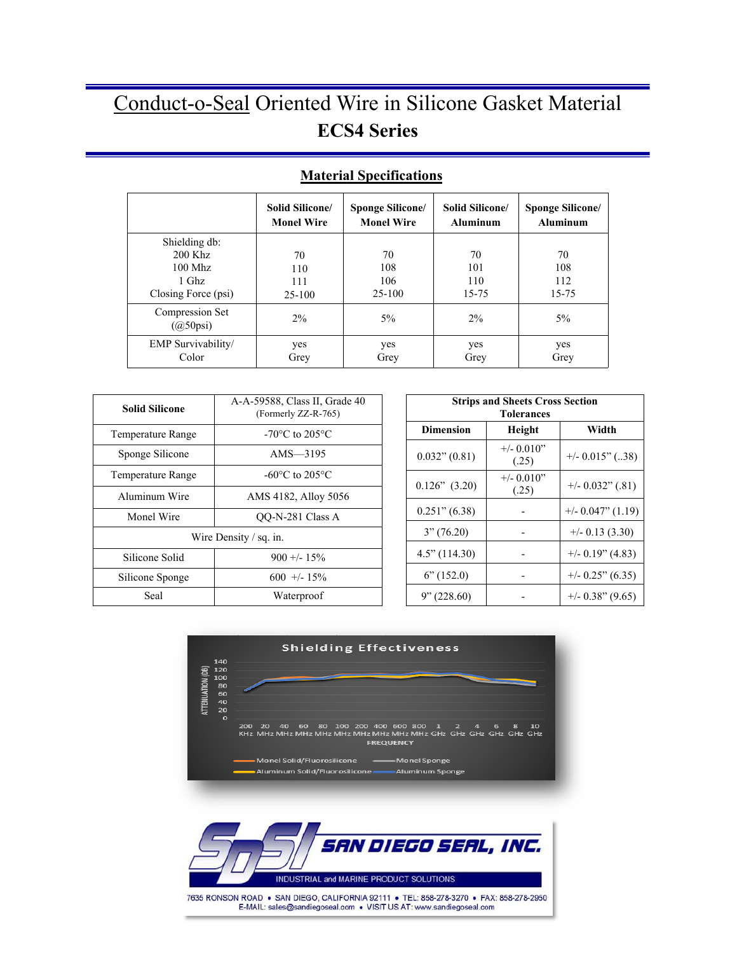|                                                                           | Solid Silicone/            | <b>Sponge Silicone/</b>      | Solid Silicone/           | <b>Sponge Silicone/</b>   |
|---------------------------------------------------------------------------|----------------------------|------------------------------|---------------------------|---------------------------|
|                                                                           | <b>Monel Wire</b>          | <b>Monel Wire</b>            | <b>Aluminum</b>           | <b>Aluminum</b>           |
| Shielding db:<br>$200$ Khz<br>$100$ Mhz<br>$1$ Ghz<br>Closing Force (psi) | 70<br>110<br>111<br>25-100 | 70<br>108<br>106<br>$25-100$ | 70<br>101<br>110<br>15-75 | 70<br>108<br>112<br>15-75 |
| Compression Set<br>$(Q50\text{psi})$                                      | 2%                         | $5\%$                        | $2\%$                     | $5\%$                     |
| EMP Survivability/                                                        | yes                        | yes                          | yes                       | yes                       |
| Color                                                                     | Grey                       | Grey                         | Grey                      | Grey                      |

## **Material Specifications**

| <b>Solid Silicone</b>              | A-A-59588, Class II, Grade 40<br>(Formerly ZZ-R-765) |  | <b>Strips and Sheets Cro</b><br><b>Tolerances</b> |                       |
|------------------------------------|------------------------------------------------------|--|---------------------------------------------------|-----------------------|
| <b>Temperature Range</b>           | $-70^{\circ}$ C to 205 $^{\circ}$ C                  |  | <b>Dimension</b>                                  | Height                |
| Sponge Silicone                    | AMS $-3195$                                          |  | $0.032$ " $(0.81)$                                | $+/- 0.010"$<br>(.25) |
| Temperature Range                  | -60 $\rm{^{\circ}C}$ to 205 $\rm{^{\circ}C}$         |  |                                                   | $+/- 0.010$ "         |
| Aluminum Wire                      | AMS 4182, Alloy 5056                                 |  | $0.126$ " $(3.20)$                                | (.25)                 |
| Monel Wire                         | OO-N-281 Class A                                     |  | $0.251$ " $(6.38)$                                |                       |
| Wire Density $\frac{1}{2}$ sq. in. |                                                      |  | 3''(76.20)                                        |                       |
| Silicone Solid                     | $900 + - 15\%$                                       |  | $4.5$ " (114.30)                                  |                       |
| Silicone Sponge                    | $600 + 15\%$                                         |  | $6^\circ(152.0)$                                  |                       |
| Seal                               | Waterproof                                           |  | 9''(228.60)                                       |                       |

| <b>Strips and Sheets Cross Section</b><br><b>Tolerances</b> |                        |                      |  |
|-------------------------------------------------------------|------------------------|----------------------|--|
| <b>Dimension</b>                                            | Height                 | Width                |  |
| $0.032$ " $(0.81)$                                          | $+/- 0.010"$<br>(.25)  | $+/- 0.015$ " (38)   |  |
| $0.126$ " $(3.20)$                                          | $+/- 0.010$ "<br>(.25) | $+/- 0.032$ " (.81)  |  |
| $0.251$ " (6.38)                                            |                        | $+/- 0.047$ " (1.19) |  |
| 3''(76.20)                                                  |                        | $+/-$ 0.13 (3.30)    |  |
| $4.5$ " (114.30)                                            |                        | $+/- 0.19$ " (4.83)  |  |
| $6$ " (152.0)                                               |                        | $+/- 0.25$ " (6.35)  |  |
| 9''(228.60)                                                 |                        | $+/- 0.38$ " (9.65)  |  |

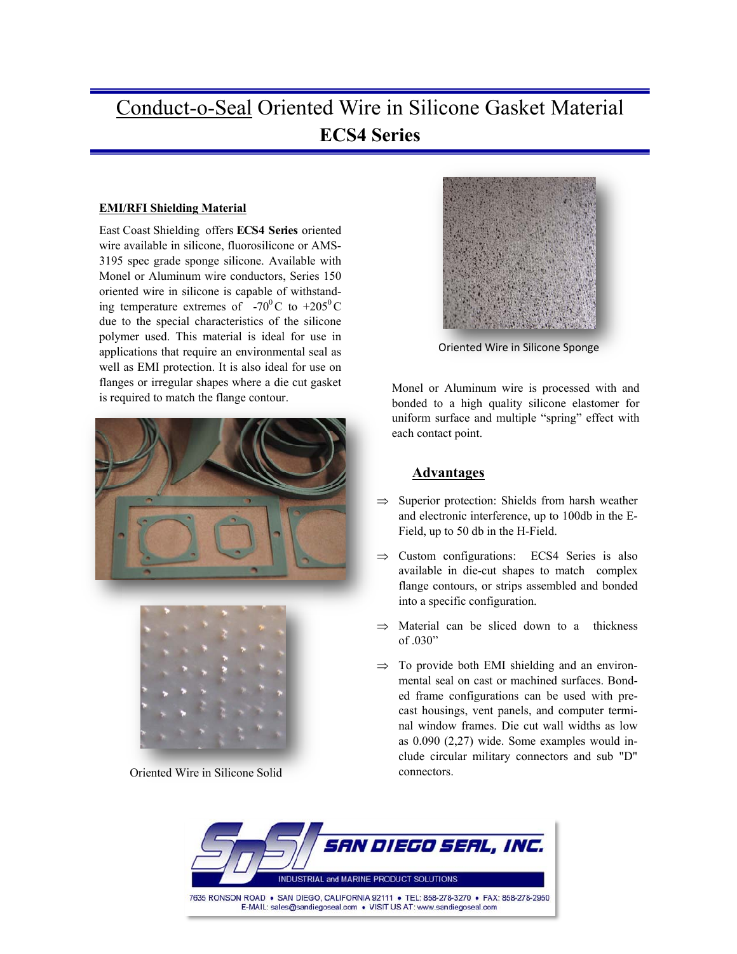#### **EMI/RFI Shielding Material**

East Coast Shielding offers **ECS4 Series** oriented wire available in silicone, fluorosilicone or AMS-3195 spec grade sponge silicone. Available with Monel or Aluminum wire conductors, Series 150 oriented wire in silicone is capable of withstanding temperature extremes of  $-70^{\circ}$ C to  $+205^{\circ}$ C due to the special characteristics of the silicone polymer used. This material is ideal for use in applications that require an environmental seal as well as EMI protection. It is also ideal for use on flanges or irregular shapes where a die cut gasket is required to match the flange contour.





Oriented Wire in Silicone Solid



Oriented Wire in Silicone Sponge

Monel or Aluminum wire is processed with and bonded to a high quality silicone elastomer for uniform surface and multiple "spring" effect with each contact point.

### **Advantages**

- $\Rightarrow$  Superior protection: Shields from harsh weather and electronic interference, up to 100db in the E-Field, up to 50 db in the H-Field.
- $\Rightarrow$  Custom configurations: ECS4 Series is also available in die-cut shapes to match complex flange contours, or strips assembled and bonded into a specific configuration.
- $\Rightarrow$  Material can be sliced down to a thickness of .030"
- $\Rightarrow$  To provide both EMI shielding and an environmental seal on cast or machined surfaces. Bonded frame configurations can be used with precast housings, vent panels, and computer terminal window frames. Die cut wall widths as low as 0.090 (2,27) wide. Some examples would include circular military connectors and sub "D" connectors.

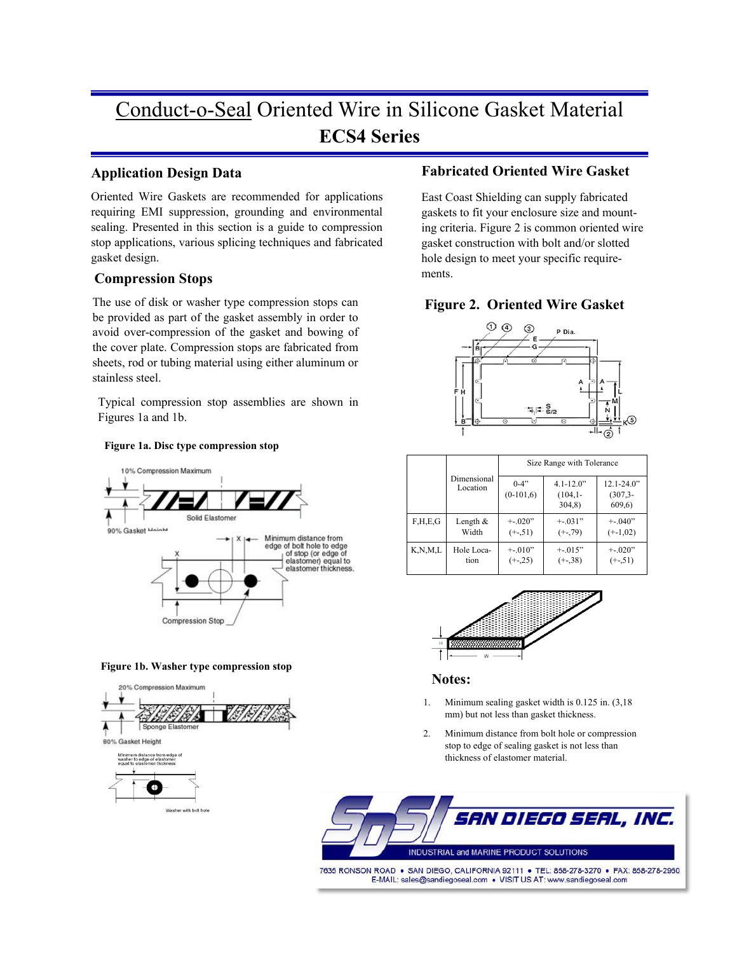### **Application Design Data**

Oriented Wire Gaskets are recommended for applications requiring EMI suppression, grounding and environmental sealing. Presented in this section is a guide to compression stop applications, various splicing techniques and fabricated gasket design.

### **Compression Stops**

The use of disk or washer type compression stops can be provided as part of the gasket assembly in order to avoid over-compression of the gasket and bowing of the cover plate. Compression stops are fabricated from sheets, rod or tubing material using either aluminum or stainless steel.

Typical compression stop assemblies are shown in Figures 1a and 1b.

#### **Figure 1a. Disc type compression stop**







### **Fabricated Oriented Wire Gasket**

East Coast Shielding can supply fabricated gaskets to fit your enclosure size and mounting criteria. Figure 2 is common oriented wire gasket construction with bolt and/or slotted hole design to meet your specific requirements.

### **Figure 2. Oriented Wire Gasket**



|                       |                         | Size Range with Tolerance |                                      |                                        |  |
|-----------------------|-------------------------|---------------------------|--------------------------------------|----------------------------------------|--|
|                       | Dimensional<br>Location | $0 - 4$ "<br>$(0-101,6)$  | $4.1 - 12.0$ "<br>$(104,1-$<br>304,8 | $12.1 - 24.0$ "<br>$(307.3 -$<br>609.6 |  |
| F.H.E.G               | Length $&$              | $-.020"$                  | $+ -031"$                            | $+ -040$                               |  |
|                       | Width                   | $(+.51)$                  | $(+.79)$                             | $(+-1,02)$                             |  |
| $K$ , $N$ , $M$ , $L$ | Hole Loca-              | $-.010"$                  | $+ -0.015$                           | $+ -020$ "                             |  |
|                       | tion                    | $(+-.25)$                 | $(+-.38)$                            | $(+.51)$                               |  |



#### **Notes:**

- 1. Minimum sealing gasket width is 0.125 in. (3,18 mm) but not less than gasket thickness.
- 2. Minimum distance from bolt hole or compression stop to edge of sealing gasket is not less than thickness of elastomer material.

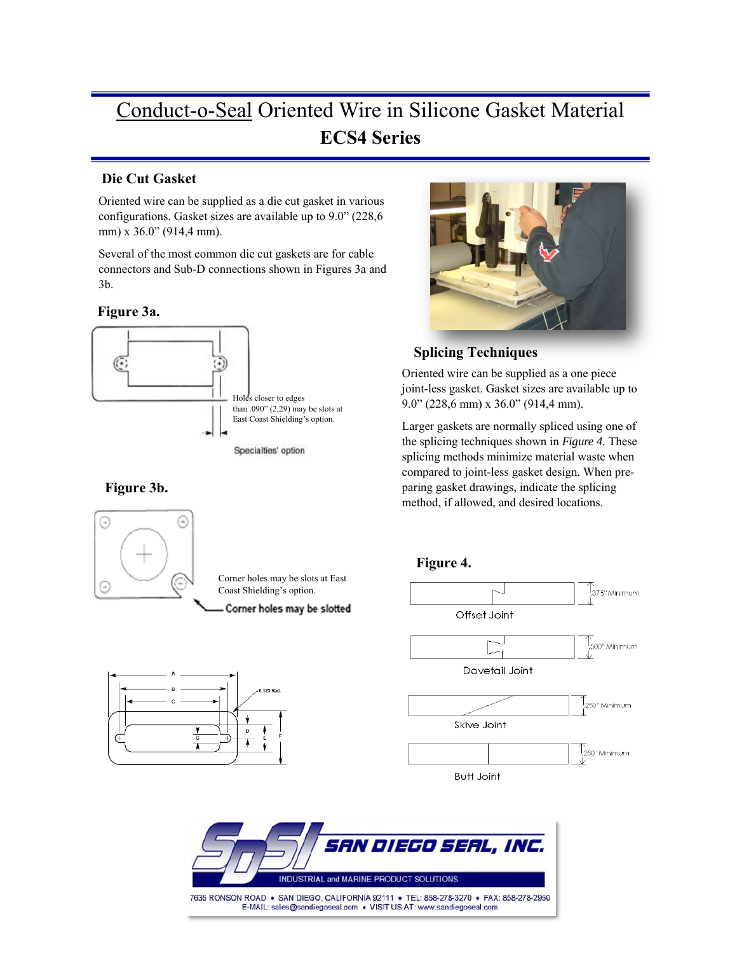## **Die Cut Gasket**

Oriented wire can be supplied as a die cut gasket in various configurations. Gasket sizes are available up to 9.0" (228,6 mm) x 36.0" (914,4 mm).

Several of the most common die cut gaskets are for cable connectors and Sub-D connections shown in Figures 3a and 3b.

### **Figure 3a.**



## **Figure 3b.**







## **Splicing Techniques**

Oriented wire can be supplied as a one piece joint-less gasket. Gasket sizes are available up to 9.0" (228,6 mm) x 36.0" (914,4 mm).

Larger gaskets are normally spliced using one of the splicing techniques shown in *Figure 4.* These splicing methods minimize material waste when compared to joint-less gasket design. When preparing gasket drawings, indicate the splicing method, if allowed, and desired locations.